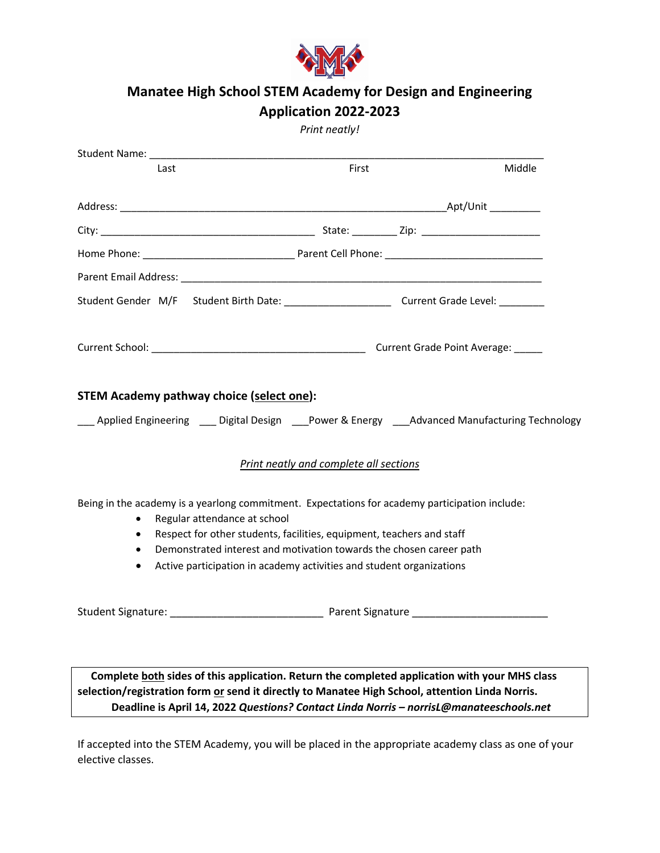

## **Manatee High School STEM Academy for Design and Engineering Application 2022-2023**

## *Print neatly!*

| Last                                     |                                                                                                                                                                                                                                                                                                                                                        | First | Middle |
|------------------------------------------|--------------------------------------------------------------------------------------------------------------------------------------------------------------------------------------------------------------------------------------------------------------------------------------------------------------------------------------------------------|-------|--------|
|                                          |                                                                                                                                                                                                                                                                                                                                                        |       |        |
|                                          |                                                                                                                                                                                                                                                                                                                                                        |       |        |
|                                          |                                                                                                                                                                                                                                                                                                                                                        |       |        |
|                                          |                                                                                                                                                                                                                                                                                                                                                        |       |        |
|                                          | Student Gender M/F Student Birth Date: ___________________________Current Grade Level: ___________                                                                                                                                                                                                                                                     |       |        |
|                                          |                                                                                                                                                                                                                                                                                                                                                        |       |        |
|                                          | <b>STEM Academy pathway choice (select one):</b>                                                                                                                                                                                                                                                                                                       |       |        |
|                                          | ___ Applied Engineering ___ Digital Design ___Power & Energy ___Advanced Manufacturing Technology                                                                                                                                                                                                                                                      |       |        |
|                                          | Print neatly and complete all sections                                                                                                                                                                                                                                                                                                                 |       |        |
| $\bullet$<br>$\bullet$<br>$\bullet$<br>٠ | Being in the academy is a yearlong commitment. Expectations for academy participation include:<br>Regular attendance at school<br>Respect for other students, facilities, equipment, teachers and staff<br>Demonstrated interest and motivation towards the chosen career path<br>Active participation in academy activities and student organizations |       |        |

 **Complete both sides of this application. Return the completed application with your MHS class selection/registration form or send it directly to Manatee High School, attention Linda Norris. Deadline is April 14, 2022** *Questions? Contact Linda Norris – norrisL@manateeschools.net*

Student Signature: \_\_\_\_\_\_\_\_\_\_\_\_\_\_\_\_\_\_\_\_\_\_\_\_\_\_ Parent Signature \_\_\_\_\_\_\_\_\_\_\_\_\_\_\_\_\_\_\_\_\_\_\_

If accepted into the STEM Academy, you will be placed in the appropriate academy class as one of your elective classes.